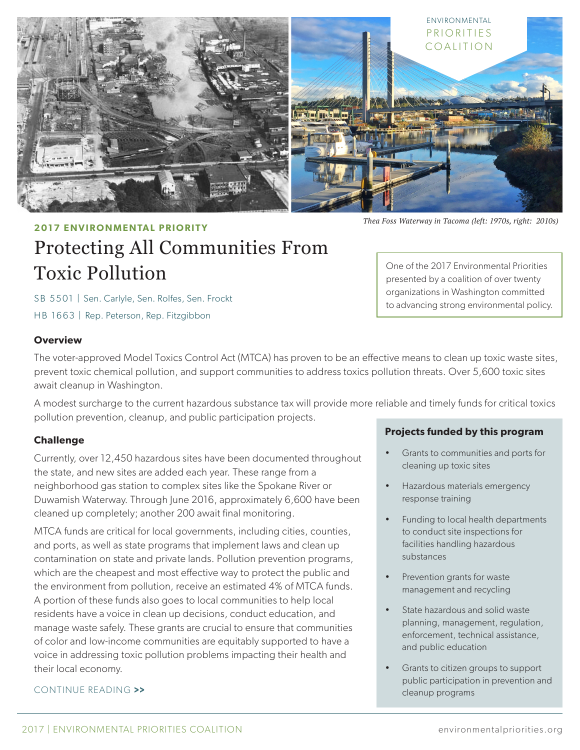

*Thea Foss Waterway in Tacoma (left: 1970s, right: 2010s)*

One of the 2017 Environmental Priorities presented by a coalition of over twenty organizations in Washington committed to advancing strong environmental policy.

# **2017 ENVIRONMENTAL PRIORITY**

# Protecting All Communities From Toxic Pollution

SB 5501 | Sen. Carlyle, Sen. Rolfes, Sen. Frockt HB 1663 | Rep. Peterson, Rep. Fitzgibbon

#### **Overview**

The voter-approved Model Toxics Control Act (MTCA) has proven to be an effective means to clean up toxic waste sites, prevent toxic chemical pollution, and support communities to address toxics pollution threats. Over 5,600 toxic sites await cleanup in Washington.

A modest surcharge to the current hazardous substance tax will provide more reliable and timely funds for critical toxics pollution prevention, cleanup, and public participation projects.

## **Challenge**

Currently, over 12,450 hazardous sites have been documented throughout the state, and new sites are added each year. These range from a neighborhood gas station to complex sites like the Spokane River or Duwamish Waterway. Through June 2016, approximately 6,600 have been cleaned up completely; another 200 await final monitoring.

MTCA funds are critical for local governments, including cities, counties, and ports, as well as state programs that implement laws and clean up contamination on state and private lands. Pollution prevention programs, which are the cheapest and most effective way to protect the public and the environment from pollution, receive an estimated 4% of MTCA funds. A portion of these funds also goes to local communities to help local residents have a voice in clean up decisions, conduct education, and manage waste safely. These grants are crucial to ensure that communities of color and low-income communities are equitably supported to have a voice in addressing toxic pollution problems impacting their health and their local economy.

## CONTINUE READING >>

#### **Projects funded by this program**

- Grants to communities and ports for cleaning up toxic sites
- Hazardous materials emergency response training
- Funding to local health departments to conduct site inspections for facilities handling hazardous substances
- Prevention grants for waste management and recycling
- State hazardous and solid waste planning, management, regulation, enforcement, technical assistance, and public education
- Grants to citizen groups to support public participation in prevention and cleanup programs